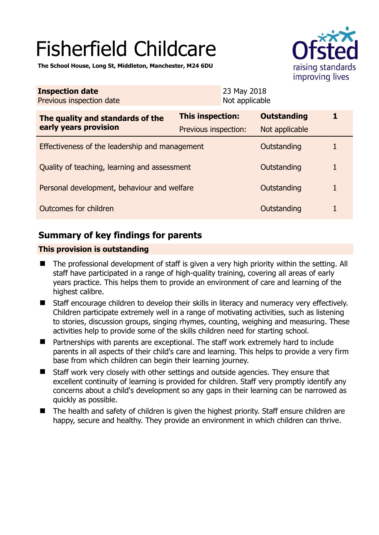# Fisherfield Childcare

raising standards improving lives

**The School House, Long St, Middleton, Manchester, M24 6DU** 

| <b>Inspection date</b><br>Previous inspection date        |                      | 23 May 2018<br>Not applicable |                    |  |
|-----------------------------------------------------------|----------------------|-------------------------------|--------------------|--|
| The quality and standards of the<br>early years provision | This inspection:     |                               | <b>Outstanding</b> |  |
|                                                           | Previous inspection: |                               | Not applicable     |  |
| Effectiveness of the leadership and management            |                      |                               | Outstanding        |  |
| Quality of teaching, learning and assessment              |                      |                               | Outstanding        |  |
| Personal development, behaviour and welfare               |                      |                               | Outstanding        |  |
| Outcomes for children                                     |                      |                               | Outstanding        |  |

# **Summary of key findings for parents**

## **This provision is outstanding**

- The professional development of staff is given a very high priority within the setting. All staff have participated in a range of high-quality training, covering all areas of early years practice. This helps them to provide an environment of care and learning of the highest calibre.
- Staff encourage children to develop their skills in literacy and numeracy very effectively. Children participate extremely well in a range of motivating activities, such as listening to stories, discussion groups, singing rhymes, counting, weighing and measuring. These activities help to provide some of the skills children need for starting school.
- Partnerships with parents are exceptional. The staff work extremely hard to include parents in all aspects of their child's care and learning. This helps to provide a very firm base from which children can begin their learning journey.
- Staff work very closely with other settings and outside agencies. They ensure that excellent continuity of learning is provided for children. Staff very promptly identify any concerns about a child's development so any gaps in their learning can be narrowed as quickly as possible.
- The health and safety of children is given the highest priority. Staff ensure children are happy, secure and healthy. They provide an environment in which children can thrive.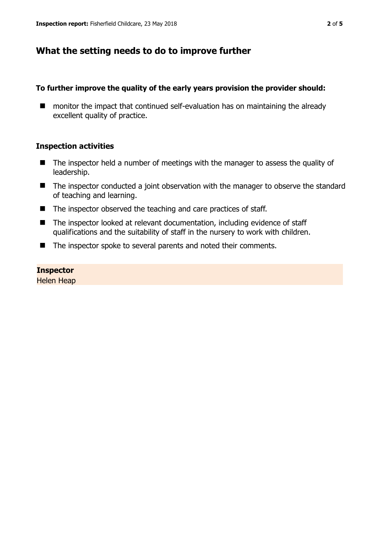# **What the setting needs to do to improve further**

## **To further improve the quality of the early years provision the provider should:**

■ monitor the impact that continued self-evaluation has on maintaining the already excellent quality of practice.

## **Inspection activities**

- The inspector held a number of meetings with the manager to assess the quality of leadership.
- The inspector conducted a joint observation with the manager to observe the standard of teaching and learning.
- The inspector observed the teaching and care practices of staff.
- The inspector looked at relevant documentation, including evidence of staff qualifications and the suitability of staff in the nursery to work with children.
- The inspector spoke to several parents and noted their comments.

## **Inspector**

Helen Heap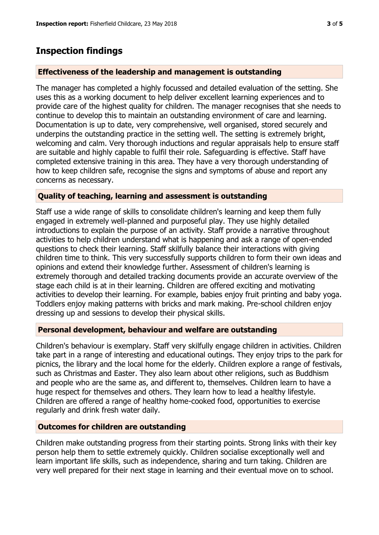## **Inspection findings**

#### **Effectiveness of the leadership and management is outstanding**

The manager has completed a highly focussed and detailed evaluation of the setting. She uses this as a working document to help deliver excellent learning experiences and to provide care of the highest quality for children. The manager recognises that she needs to continue to develop this to maintain an outstanding environment of care and learning. Documentation is up to date, very comprehensive, well organised, stored securely and underpins the outstanding practice in the setting well. The setting is extremely bright, welcoming and calm. Very thorough inductions and regular appraisals help to ensure staff are suitable and highly capable to fulfil their role. Safeguarding is effective. Staff have completed extensive training in this area. They have a very thorough understanding of how to keep children safe, recognise the signs and symptoms of abuse and report any concerns as necessary.

## **Quality of teaching, learning and assessment is outstanding**

Staff use a wide range of skills to consolidate children's learning and keep them fully engaged in extremely well-planned and purposeful play. They use highly detailed introductions to explain the purpose of an activity. Staff provide a narrative throughout activities to help children understand what is happening and ask a range of open-ended questions to check their learning. Staff skilfully balance their interactions with giving children time to think. This very successfully supports children to form their own ideas and opinions and extend their knowledge further. Assessment of children's learning is extremely thorough and detailed tracking documents provide an accurate overview of the stage each child is at in their learning. Children are offered exciting and motivating activities to develop their learning. For example, babies enjoy fruit printing and baby yoga. Toddlers enjoy making patterns with bricks and mark making. Pre-school children enjoy dressing up and sessions to develop their physical skills.

### **Personal development, behaviour and welfare are outstanding**

Children's behaviour is exemplary. Staff very skilfully engage children in activities. Children take part in a range of interesting and educational outings. They enjoy trips to the park for picnics, the library and the local home for the elderly. Children explore a range of festivals, such as Christmas and Easter. They also learn about other religions, such as Buddhism and people who are the same as, and different to, themselves. Children learn to have a huge respect for themselves and others. They learn how to lead a healthy lifestyle. Children are offered a range of healthy home-cooked food, opportunities to exercise regularly and drink fresh water daily.

#### **Outcomes for children are outstanding**

Children make outstanding progress from their starting points. Strong links with their key person help them to settle extremely quickly. Children socialise exceptionally well and learn important life skills, such as independence, sharing and turn taking. Children are very well prepared for their next stage in learning and their eventual move on to school.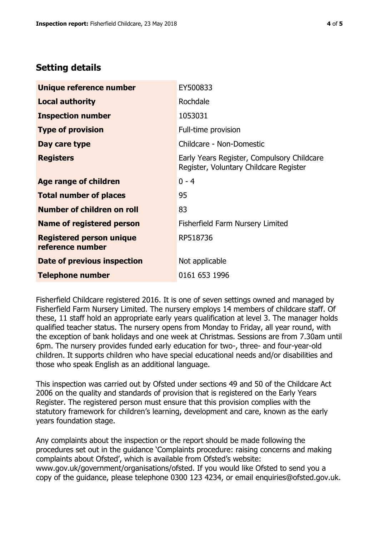## **Setting details**

| Unique reference number                             | EY500833                                                                             |  |
|-----------------------------------------------------|--------------------------------------------------------------------------------------|--|
| <b>Local authority</b>                              | Rochdale                                                                             |  |
| <b>Inspection number</b>                            | 1053031                                                                              |  |
| <b>Type of provision</b>                            | Full-time provision                                                                  |  |
| Day care type                                       | Childcare - Non-Domestic                                                             |  |
| <b>Registers</b>                                    | Early Years Register, Compulsory Childcare<br>Register, Voluntary Childcare Register |  |
| Age range of children                               | $0 - 4$                                                                              |  |
| <b>Total number of places</b>                       | 95                                                                                   |  |
| Number of children on roll                          | 83                                                                                   |  |
| Name of registered person                           | <b>Fisherfield Farm Nursery Limited</b>                                              |  |
| <b>Registered person unique</b><br>reference number | RP518736                                                                             |  |
| Date of previous inspection                         | Not applicable                                                                       |  |
| <b>Telephone number</b>                             | 0161 653 1996                                                                        |  |

Fisherfield Childcare registered 2016. It is one of seven settings owned and managed by Fisherfield Farm Nursery Limited. The nursery employs 14 members of childcare staff. Of these, 11 staff hold an appropriate early years qualification at level 3. The manager holds qualified teacher status. The nursery opens from Monday to Friday, all year round, with the exception of bank holidays and one week at Christmas. Sessions are from 7.30am until 6pm. The nursery provides funded early education for two-, three- and four-year-old children. It supports children who have special educational needs and/or disabilities and those who speak English as an additional language.

This inspection was carried out by Ofsted under sections 49 and 50 of the Childcare Act 2006 on the quality and standards of provision that is registered on the Early Years Register. The registered person must ensure that this provision complies with the statutory framework for children's learning, development and care, known as the early years foundation stage.

Any complaints about the inspection or the report should be made following the procedures set out in the guidance 'Complaints procedure: raising concerns and making complaints about Ofsted', which is available from Ofsted's website: www.gov.uk/government/organisations/ofsted. If you would like Ofsted to send you a copy of the guidance, please telephone 0300 123 4234, or email enquiries@ofsted.gov.uk.